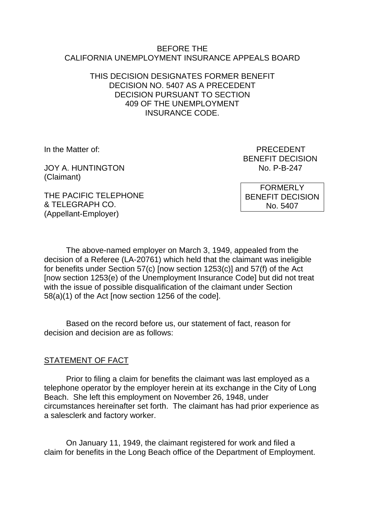#### BEFORE THE CALIFORNIA UNEMPLOYMENT INSURANCE APPEALS BOARD

### THIS DECISION DESIGNATES FORMER BENEFIT DECISION NO. 5407 AS A PRECEDENT DECISION PURSUANT TO SECTION 409 OF THE UNEMPLOYMENT INSURANCE CODE.

JOY A. HUNTINGTON NO. P-B-247 (Claimant)

In the Matter of: PRECEDENT BENEFIT DECISION

THE PACIFIC TELEPHONE & TELEGRAPH CO. (Appellant-Employer)

FORMERLY BENEFIT DECISION No. 5407

The above-named employer on March 3, 1949, appealed from the decision of a Referee (LA-20761) which held that the claimant was ineligible for benefits under Section 57(c) [now section 1253(c)] and 57(f) of the Act [now section 1253(e) of the Unemployment Insurance Code] but did not treat with the issue of possible disqualification of the claimant under Section 58(a)(1) of the Act [now section 1256 of the code].

Based on the record before us, our statement of fact, reason for decision and decision are as follows:

# STATEMENT OF FACT

Prior to filing a claim for benefits the claimant was last employed as a telephone operator by the employer herein at its exchange in the City of Long Beach. She left this employment on November 26, 1948, under circumstances hereinafter set forth. The claimant has had prior experience as a salesclerk and factory worker.

On January 11, 1949, the claimant registered for work and filed a claim for benefits in the Long Beach office of the Department of Employment.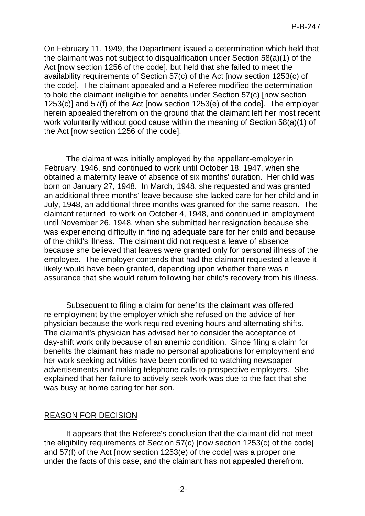On February 11, 1949, the Department issued a determination which held that the claimant was not subject to disqualification under Section 58(a)(1) of the Act [now section 1256 of the code], but held that she failed to meet the availability requirements of Section 57(c) of the Act [now section 1253(c) of the code]. The claimant appealed and a Referee modified the determination to hold the claimant ineligible for benefits under Section 57(c) [now section 1253(c)] and 57(f) of the Act [now section 1253(e) of the code]. The employer herein appealed therefrom on the ground that the claimant left her most recent work voluntarily without good cause within the meaning of Section 58(a)(1) of the Act [now section 1256 of the code].

The claimant was initially employed by the appellant-employer in February, 1946, and continued to work until October 18, 1947, when she obtained a maternity leave of absence of six months' duration. Her child was born on January 27, 1948. In March, 1948, she requested and was granted an additional three months' leave because she lacked care for her child and in July, 1948, an additional three months was granted for the same reason. The claimant returned to work on October 4, 1948, and continued in employment until November 26, 1948, when she submitted her resignation because she was experiencing difficulty in finding adequate care for her child and because of the child's illness. The claimant did not request a leave of absence because she believed that leaves were granted only for personal illness of the employee. The employer contends that had the claimant requested a leave it likely would have been granted, depending upon whether there was n assurance that she would return following her child's recovery from his illness.

Subsequent to filing a claim for benefits the claimant was offered re-employment by the employer which she refused on the advice of her physician because the work required evening hours and alternating shifts. The claimant's physician has advised her to consider the acceptance of day-shift work only because of an anemic condition. Since filing a claim for benefits the claimant has made no personal applications for employment and her work seeking activities have been confined to watching newspaper advertisements and making telephone calls to prospective employers. She explained that her failure to actively seek work was due to the fact that she was busy at home caring for her son.

# REASON FOR DECISION

It appears that the Referee's conclusion that the claimant did not meet the eligibility requirements of Section 57(c) [now section 1253(c) of the code] and 57(f) of the Act [now section 1253(e) of the code] was a proper one under the facts of this case, and the claimant has not appealed therefrom.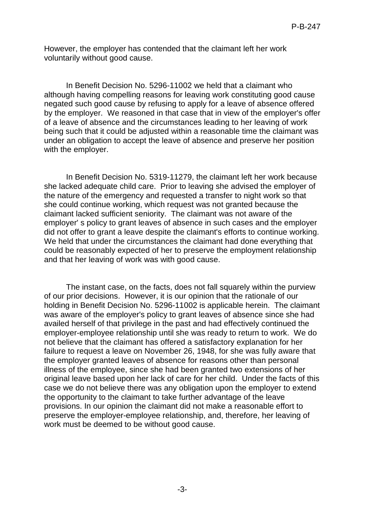However, the employer has contended that the claimant left her work voluntarily without good cause.

In Benefit Decision No. 5296-11002 we held that a claimant who although having compelling reasons for leaving work constituting good cause negated such good cause by refusing to apply for a leave of absence offered by the employer. We reasoned in that case that in view of the employer's offer of a leave of absence and the circumstances leading to her leaving of work being such that it could be adjusted within a reasonable time the claimant was under an obligation to accept the leave of absence and preserve her position with the employer.

In Benefit Decision No. 5319-11279, the claimant left her work because she lacked adequate child care. Prior to leaving she advised the employer of the nature of the emergency and requested a transfer to night work so that she could continue working, which request was not granted because the claimant lacked sufficient seniority. The claimant was not aware of the employer' s policy to grant leaves of absence in such cases and the employer did not offer to grant a leave despite the claimant's efforts to continue working. We held that under the circumstances the claimant had done everything that could be reasonably expected of her to preserve the employment relationship and that her leaving of work was with good cause.

The instant case, on the facts, does not fall squarely within the purview of our prior decisions. However, it is our opinion that the rationale of our holding in Benefit Decision No. 5296-11002 is applicable herein. The claimant was aware of the employer's policy to grant leaves of absence since she had availed herself of that privilege in the past and had effectively continued the employer-employee relationship until she was ready to return to work. We do not believe that the claimant has offered a satisfactory explanation for her failure to request a leave on November 26, 1948, for she was fully aware that the employer granted leaves of absence for reasons other than personal illness of the employee, since she had been granted two extensions of her original leave based upon her lack of care for her child. Under the facts of this case we do not believe there was any obligation upon the employer to extend the opportunity to the claimant to take further advantage of the leave provisions. In our opinion the claimant did not make a reasonable effort to preserve the employer-employee relationship, and, therefore, her leaving of work must be deemed to be without good cause.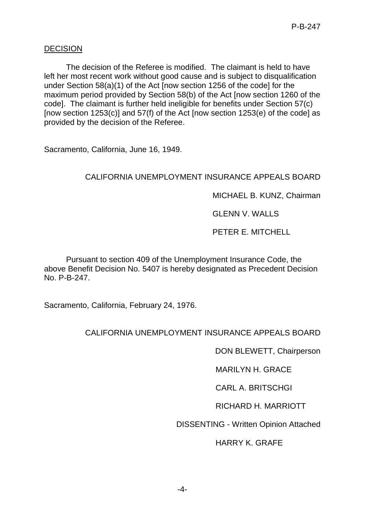### **DECISION**

The decision of the Referee is modified. The claimant is held to have left her most recent work without good cause and is subject to disqualification under Section 58(a)(1) of the Act [now section 1256 of the code] for the maximum period provided by Section 58(b) of the Act [now section 1260 of the code]. The claimant is further held ineligible for benefits under Section 57(c) [now section 1253(c)] and 57(f) of the Act [now section 1253(e) of the code] as provided by the decision of the Referee.

Sacramento, California, June 16, 1949.

### CALIFORNIA UNEMPLOYMENT INSURANCE APPEALS BOARD

MICHAEL B. KUNZ, Chairman

GLENN V. WALLS

PETER E. MITCHELL

Pursuant to section 409 of the Unemployment Insurance Code, the above Benefit Decision No. 5407 is hereby designated as Precedent Decision No. P-B-247.

Sacramento, California, February 24, 1976.

# CALIFORNIA UNEMPLOYMENT INSURANCE APPEALS BOARD

DON BLEWETT, Chairperson

MARILYN H. GRACE

CARL A. BRITSCHGI

RICHARD H. MARRIOTT

DISSENTING - Written Opinion Attached

HARRY K. GRAFE